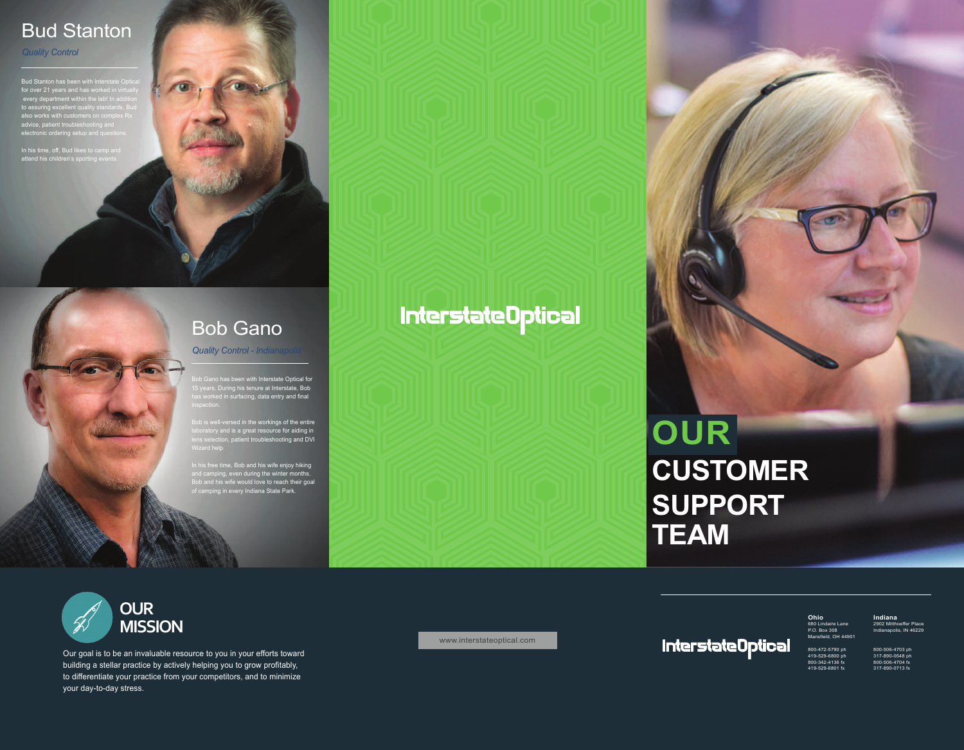## Bud Stanton

*Quality Control* 

for over 21 years and has worked in virtually proven the last in additive proven in additive and the last in additive model. every department within the lab! In addition to assuring excellent quality standards, Bud also works with customers on complex Rx advice, patient troubleshooting and electronic ordering setup and questions.

In his time, off, Bud likes to camp and attend his children's sporting events.



Bob Gano has been with Interstate Optical for 15 years. During his tenure at Interstate, Bob h years. During riis tenure at mierstate, bob<br>as worked in surfacing, data entry and final

laboratory and is a great resource for aiding in lens selection, patient troubleshooting and DVI Wizard help.

In his free time, Bob and his wife enjoy hiking and camping, even during the winter months. Bob and his wife would love to reach their goal of camping in every Indiana State Park.

## **InterstateOptical**

# **OUR CUSTOMER SUPPORT TEAM**



Our goal is to be an invaluable resource to you in your efforts toward building a stellar practice by actively helping you to grow profitably, to differentiate your practice from your competitors, and to minimize your day-to-day stress.

www.interstateoptical.com

**InterstateOptical** 

**Ohio** 680 Lindaire Lane P.O. Box 308 Mansfield, OH 44901 800-472-5790 ph

419-529-6800 ph 800-342-4136 fx 419-529-6801 fx

800-506-4703 ph 317-890-0548 ph 800-506-4704 fx 317-890-0713 fx

**Indiana** 2902 Mitthoeffer Place Indianapolis, IN 46229